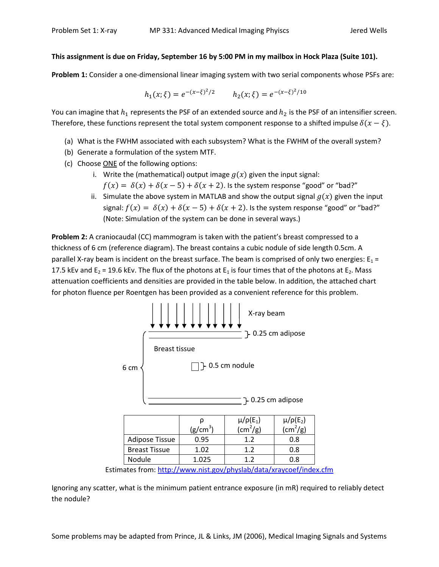## This assignment is due on Friday, September 16 by 5:00 PM in my mailbox in Hock Plaza (Suite 101).

Problem 1: Consider a one-dimensional linear imaging system with two serial components whose PSFs are:

$$
h_1(x;\xi) = e^{-(x-\xi)^2/2}
$$
  $h_2(x;\xi) = e^{-(x-\xi)^2/10}$ 

You can imagine that  $h_1$  represents the PSF of an extended source and  $h_2$  is the PSF of an intensifier screen. Therefore, these functions represent the total system component response to a shifted impulse  $\delta(x - \xi)$ .

- (a) What is the FWHM associated with each subsystem? What is the FWHM of the overall system?
- (b) Generate a formulation of the system MTF.
- (c) Choose ONE of the following options:
	- i. Write the (mathematical) output image  $g(x)$  given the input signal:
		- $f(x) = \delta(x) + \delta(x 5) + \delta(x + 2)$ . Is the system response "good" or "bad?"
	- ii. Simulate the above system in MATLAB and show the output signal  $g(x)$  given the input signal:  $f(x) = \delta(x) + \delta(x - 5) + \delta(x + 2)$ . Is the system response "good" or "bad?" (Note: Simulation of the system can be done in several ways.)

Problem 2: A craniocaudal (CC) mammogram is taken with the patient's breast compressed to a thickness of 6 cm (reference diagram). The breast contains a cubic nodule of side length 0.5cm. A parallel X-ray beam is incident on the breast surface. The beam is comprised of only two energies:  $E_1$  = 17.5 kEv and  $E_2$  = 19.6 kEv. The flux of the photons at  $E_1$  is four times that of the photons at  $E_2$ . Mass attenuation coefficients and densities are provided in the table below. In addition, the attached chart for photon fluence per Roentgen has been provided as a convenient reference for this problem.



Estimates from: http://www.nist.gov/physlab/data/xraycoef/index.cfm

Ignoring any scatter, what is the minimum patient entrance exposure (in mR) required to reliably detect the nodule?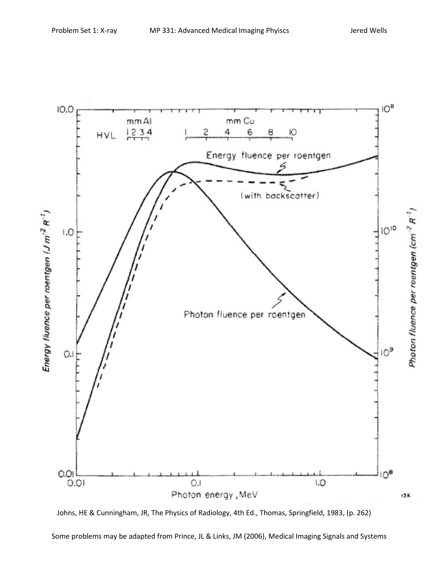

Johns, HE & Cunningham, JR, The Physics of Radiology, 4th Ed., Thomas, Springfield, 1983, (p. 262)